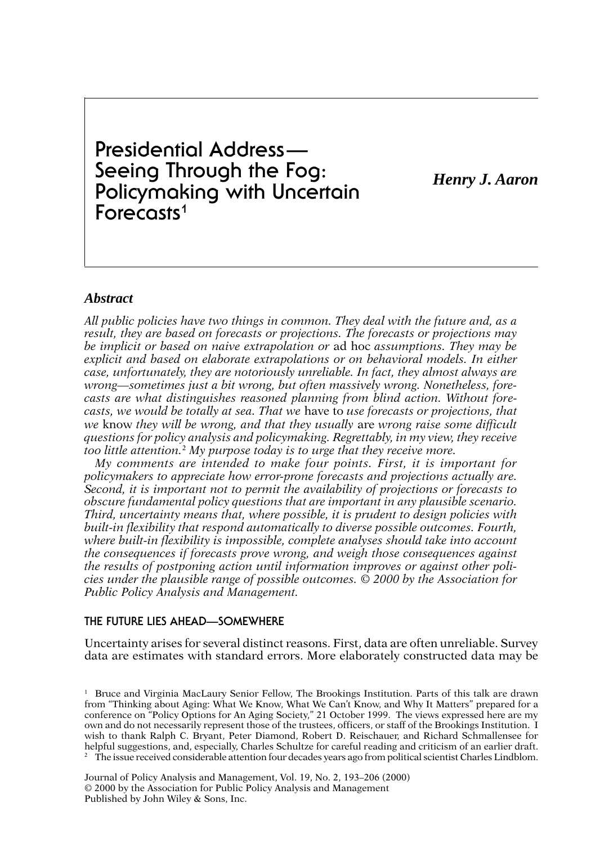# **Presidential Address— Seeing Through the Fog: Policymaking with Uncertain Forecasts1**

*Henry J. Aaron*

# *Abstract*

*All public policies have two things in common. They deal with the future and, as a result, they are based on forecasts or projections. The forecasts or projections may be implicit or based on naive extrapolation or* ad hoc *assumptions. They may be explicit and based on elaborate extrapolations or on behavioral models. In either case, unfortunately, they are notoriously unreliable. In fact, they almost always are wrong—sometimes just a bit wrong, but often massively wrong. Nonetheless, forecasts are what distinguishes reasoned planning from blind action. Without forecasts, we would be totally at sea. That we* have to *use forecasts or projections, that we* know *they will be wrong, and that they usually* are *wrong raise some difficult questions for policy analysis and policymaking. Regrettably, in my view, they receive too little attention.*<sup>2</sup>  *My purpose today is to urge that they receive more.*

*My comments are intended to make four points. First, it is important for policymakers to appreciate how error-prone forecasts and projections actually are. Second, it is important not to permit the availability of projections or forecasts to obscure fundamental policy questions that are important in any plausible scenario. Third, uncertainty means that, where possible, it is prudent to design policies with built-in flexibility that respond automatically to diverse possible outcomes. Fourth, where built-in flexibility is impossible, complete analyses should take into account the consequences if forecasts prove wrong, and weigh those consequences against the results of postponing action until information improves or against other policies under the plausible range of possible outcomes. © 2000 by the Association for Public Policy Analysis and Management.*

## **THE FUTURE LIES AHEAD—SOMEWHERE**

Uncertainty arises for several distinct reasons. First, data are often unreliable. Survey data are estimates with standard errors. More elaborately constructed data may be

Journal of Policy Analysis and Management, Vol. 19, No. 2, 193–206 (2000) © 2000 by the Association for Public Policy Analysis and Management Published by John Wiley & Sons, Inc.

<sup>1</sup> Bruce and Virginia MacLaury Senior Fellow, The Brookings Institution. Parts of this talk are drawn from "Thinking about Aging: What We Know, What We Can't Know, and Why It Matters" prepared for a conference on "Policy Options for An Aging Society," 21 October 1999. The views expressed here are my own and do not necessarily represent those of the trustees, officers, or staff of the Brookings Institution. I wish to thank Ralph C. Bryant, Peter Diamond, Robert D. Reischauer, and Richard Schmallensee for helpful suggestions, and, especially, Charles Schultze for careful reading and criticism of an earlier draft. <sup>2</sup> The issue received considerable attention four decades years ago from political scientist Charles Lindblom.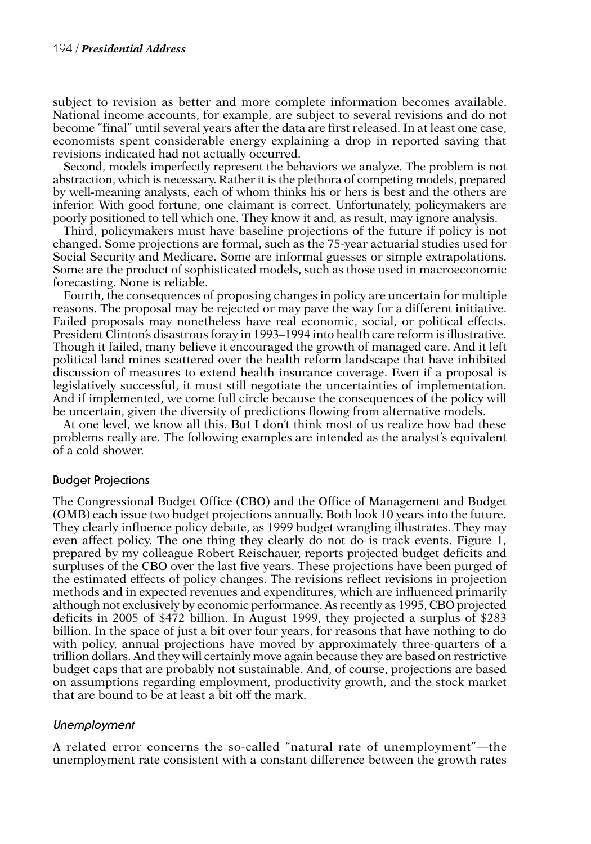subject to revision as better and more complete information becomes available. National income accounts, for example, are subject to several revisions and do not become "final" until several years after the data are first released. In at least one case, economists spent considerable energy explaining a drop in reported saving that revisions indicated had not actually occurred.

Second, models imperfectly represent the behaviors we analyze. The problem is not abstraction, which is necessary. Rather it is the plethora of competing models, prepared by well-meaning analysts, each of whom thinks his or hers is best and the others are inferior. With good fortune, one claimant is correct. Unfortunately, policymakers are poorly positioned to tell which one. They know it and, as result, may ignore analysis.

Third, policymakers must have baseline projections of the future if policy is not changed. Some projections are formal, such as the 75-year actuarial studies used for Social Security and Medicare. Some are informal guesses or simple extrapolations. Some are the product of sophisticated models, such as those used in macroeconomic forecasting. None is reliable.

Fourth, the consequences of proposing changes in policy are uncertain for multiple reasons. The proposal may be rejected or may pave the way for a different initiative. Failed proposals may nonetheless have real economic, social, or political effects. President Clinton's disastrous foray in 1993–1994 into health care reform is illustrative. Though it failed, many believe it encouraged the growth of managed care. And it left political land mines scattered over the health reform landscape that have inhibited discussion of measures to extend health insurance coverage. Even if a proposal is legislatively successful, it must still negotiate the uncertainties of implementation. And if implemented, we come full circle because the consequences of the policy will be uncertain, given the diversity of predictions flowing from alternative models.

At one level, we know all this. But I don't think most of us realize how bad these problems really are. The following examples are intended as the analyst's equivalent of a cold shower.

#### **Budget Projections**

The Congressional Budget Office (CBO) and the Office of Management and Budget (OMB) each issue two budget projections annually. Both look 10 years into the future. They clearly influence policy debate, as 1999 budget wrangling illustrates. They may even affect policy. The one thing they clearly do not do is track events. Figure 1, prepared by my colleague Robert Reischauer, reports projected budget deficits and surpluses of the CBO over the last five years. These projections have been purged of the estimated effects of policy changes. The revisions reflect revisions in projection methods and in expected revenues and expenditures, which are influenced primarily although not exclusively by economic performance. As recently as 1995, CBO projected deficits in 2005 of \$472 billion. In August 1999, they projected a surplus of \$283 billion. In the space of just a bit over four years, for reasons that have nothing to do with policy, annual projections have moved by approximately three-quarters of a trillion dollars. And they will certainly move again because they are based on restrictive budget caps that are probably not sustainable. And, of course, projections are based on assumptions regarding employment, productivity growth, and the stock market that are bound to be at least a bit off the mark.

#### **Unemployment**

A related error concerns the so-called "natural rate of unemployment"—the unemployment rate consistent with a constant difference between the growth rates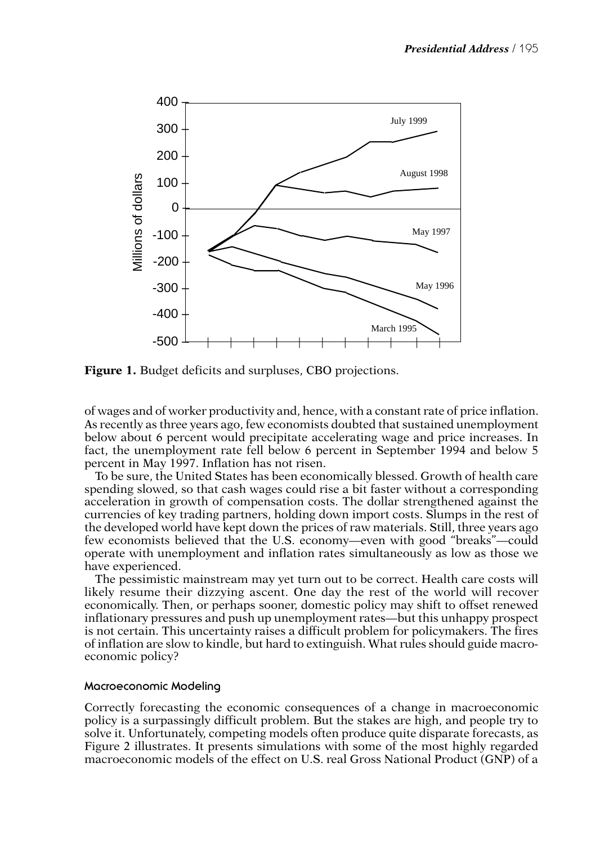

**Figure 1.** Budget deficits and surpluses, CBO projections.

of wages and of worker productivity and, hence, with a constant rate of price inflation. As recently as three years ago, few economists doubted that sustained unemployment below about 6 percent would precipitate accelerating wage and price increases. In fact, the unemployment rate fell below 6 percent in September 1994 and below 5 percent in May 1997. Inflation has not risen.

To be sure, the United States has been economically blessed. Growth of health care spending slowed, so that cash wages could rise a bit faster without a corresponding acceleration in growth of compensation costs. The dollar strengthened against the currencies of key trading partners, holding down import costs. Slumps in the rest of the developed world have kept down the prices of raw materials. Still, three years ago few economists believed that the U.S. economy—even with good "breaks"—could operate with unemployment and inflation rates simultaneously as low as those we have experienced.

The pessimistic mainstream may yet turn out to be correct. Health care costs will likely resume their dizzying ascent. One day the rest of the world will recover economically. Then, or perhaps sooner, domestic policy may shift to offset renewed inflationary pressures and push up unemployment rates—but this unhappy prospect is not certain. This uncertainty raises a difficult problem for policymakers. The fires of inflation are slow to kindle, but hard to extinguish. What rules should guide macroeconomic policy?

#### **Macroeconomic Modeling**

Correctly forecasting the economic consequences of a change in macroeconomic policy is a surpassingly difficult problem. But the stakes are high, and people try to solve it. Unfortunately, competing models often produce quite disparate forecasts, as Figure 2 illustrates. It presents simulations with some of the most highly regarded macroeconomic models of the effect on U.S. real Gross National Product (GNP) of a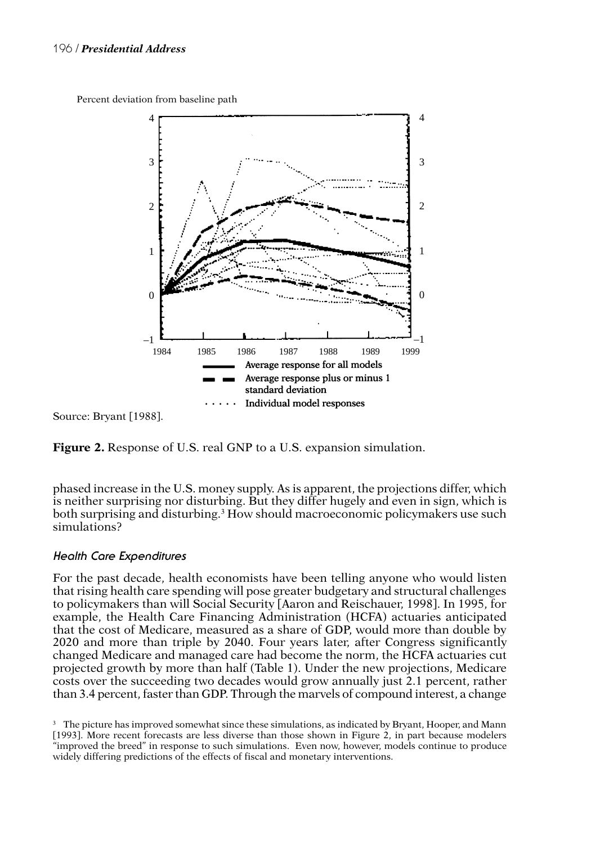Percent deviation from baseline path



Source: Bryant [1988].

**Figure 2.** Response of U.S. real GNP to a U.S. expansion simulation.

phased increase in the U.S. money supply. As is apparent, the projections differ, which is neither surprising nor disturbing. But they differ hugely and even in sign, which is both surprising and disturbing.<sup>3</sup> How should macroeconomic policymakers use such simulations?

## **Health Care Expenditures**

For the past decade, health economists have been telling anyone who would listen that rising health care spending will pose greater budgetary and structural challenges to policymakers than will Social Security [Aaron and Reischauer, 1998]. In 1995, for example, the Health Care Financing Administration (HCFA) actuaries anticipated that the cost of Medicare, measured as a share of GDP, would more than double by 2020 and more than triple by 2040. Four years later, after Congress significantly changed Medicare and managed care had become the norm, the HCFA actuaries cut projected growth by more than half (Table 1). Under the new projections, Medicare costs over the succeeding two decades would grow annually just 2.1 percent, rather than 3.4 percent, faster than GDP. Through the marvels of compound interest, a change

<sup>&</sup>lt;sup>3</sup> The picture has improved somewhat since these simulations, as indicated by Bryant, Hooper, and Mann [1993]. More recent forecasts are less diverse than those shown in Figure 2, in part because modelers "improved the breed" in response to such simulations. Even now, however, models continue to produce widely differing predictions of the effects of fiscal and monetary interventions.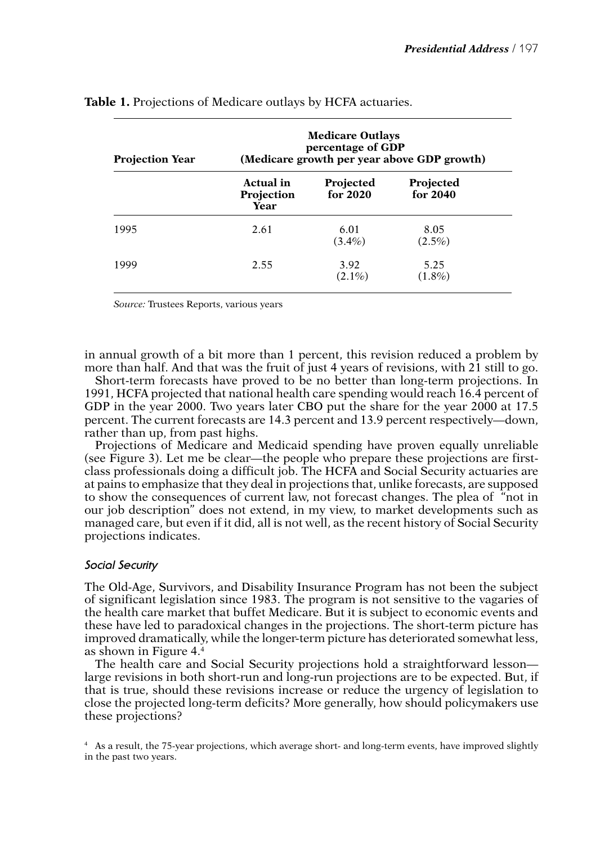| <b>Projection Year</b> | <b>Medicare Outlays</b><br>percentage of GDP<br>(Medicare growth per year above GDP growth) |                         |                         |
|------------------------|---------------------------------------------------------------------------------------------|-------------------------|-------------------------|
|                        | Actual in<br>Projection<br>Year                                                             | Projected<br>for $2020$ | Projected<br>for $2040$ |
| 1995                   | 2.61                                                                                        | 6.01<br>$(3.4\%)$       | 8.05<br>$(2.5\%)$       |
| 1999                   | 2.55                                                                                        | 3.92<br>$(2.1\%)$       | 5.25<br>$(1.8\%)$       |

**Table 1.** Projections of Medicare outlays by HCFA actuaries.

*Source:* Trustees Reports, various years

in annual growth of a bit more than 1 percent, this revision reduced a problem by more than half. And that was the fruit of just 4 years of revisions, with 21 still to go.

Short-term forecasts have proved to be no better than long-term projections. In 1991, HCFA projected that national health care spending would reach 16.4 percent of GDP in the year 2000. Two years later CBO put the share for the year 2000 at 17.5 percent. The current forecasts are 14.3 percent and 13.9 percent respectively—down, rather than up, from past highs.

Projections of Medicare and Medicaid spending have proven equally unreliable (see Figure 3). Let me be clear—the people who prepare these projections are firstclass professionals doing a difficult job. The HCFA and Social Security actuaries are at pains to emphasize that they deal in projections that, unlike forecasts, are supposed to show the consequences of current law, not forecast changes. The plea of "not in our job description" does not extend, in my view, to market developments such as managed care, but even if it did, all is not well, as the recent history of Social Security projections indicates.

#### **Social Security**

The Old-Age, Survivors, and Disability Insurance Program has not been the subject of significant legislation since 1983. The program is not sensitive to the vagaries of the health care market that buffet Medicare. But it is subject to economic events and these have led to paradoxical changes in the projections. The short-term picture has improved dramatically, while the longer-term picture has deteriorated somewhat less, as shown in Figure 4.4

The health care and Social Security projections hold a straightforward lesson large revisions in both short-run and long-run projections are to be expected. But, if that is true, should these revisions increase or reduce the urgency of legislation to close the projected long-term deficits? More generally, how should policymakers use these projections?

<sup>4</sup> As a result, the 75-year projections, which average short- and long-term events, have improved slightly in the past two years.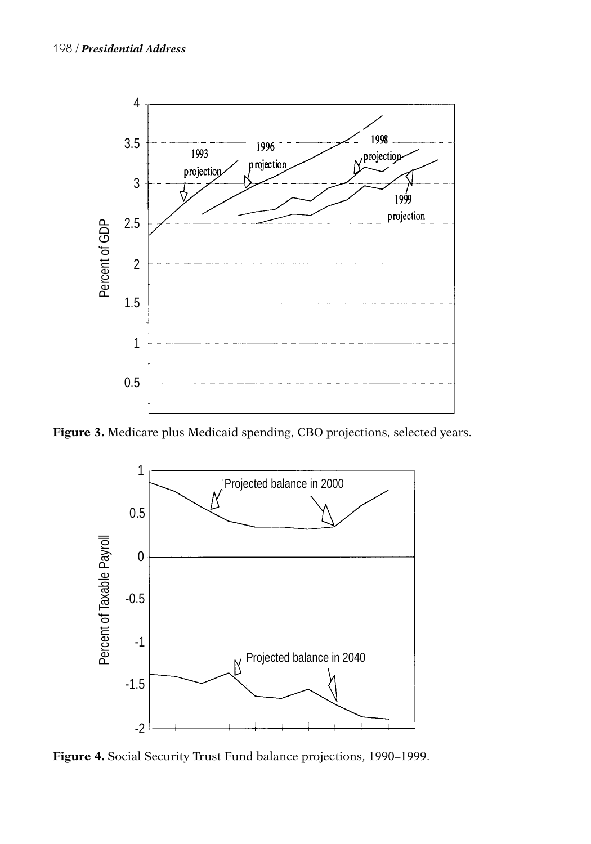

**Figure 3.** Medicare plus Medicaid spending, CBO projections, selected years.



**Figure 4.** Social Security Trust Fund balance projections, 1990–1999.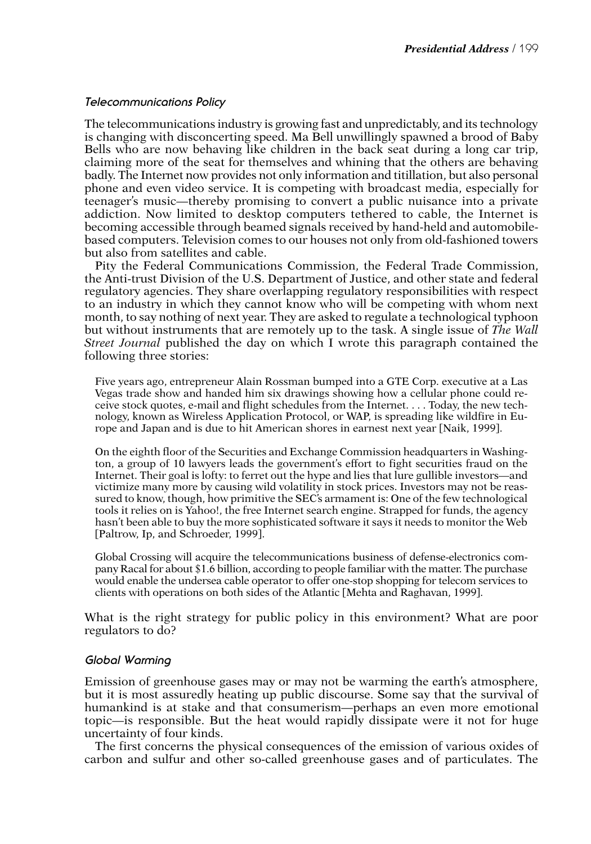#### **Telecommunications Policy**

The telecommunications industry is growing fast and unpredictably, and its technology is changing with disconcerting speed. Ma Bell unwillingly spawned a brood of Baby Bells who are now behaving like children in the back seat during a long car trip, claiming more of the seat for themselves and whining that the others are behaving badly. The Internet now provides not only information and titillation, but also personal phone and even video service. It is competing with broadcast media, especially for teenager's music—thereby promising to convert a public nuisance into a private addiction. Now limited to desktop computers tethered to cable, the Internet is becoming accessible through beamed signals received by hand-held and automobilebased computers. Television comes to our houses not only from old-fashioned towers but also from satellites and cable.

Pity the Federal Communications Commission, the Federal Trade Commission, the Anti-trust Division of the U.S. Department of Justice, and other state and federal regulatory agencies. They share overlapping regulatory responsibilities with respect to an industry in which they cannot know who will be competing with whom next month, to say nothing of next year. They are asked to regulate a technological typhoon but without instruments that are remotely up to the task. A single issue of *The Wall Street Journal* published the day on which I wrote this paragraph contained the following three stories:

Five years ago, entrepreneur Alain Rossman bumped into a GTE Corp. executive at a Las Vegas trade show and handed him six drawings showing how a cellular phone could receive stock quotes, e-mail and flight schedules from the Internet. . . . Today, the new technology, known as Wireless Application Protocol, or WAP, is spreading like wildfire in Europe and Japan and is due to hit American shores in earnest next year [Naik, 1999].

On the eighth floor of the Securities and Exchange Commission headquarters in Washington, a group of 10 lawyers leads the government's effort to fight securities fraud on the Internet. Their goal is lofty: to ferret out the hype and lies that lure gullible investors—and victimize many more by causing wild volatility in stock prices. Investors may not be reassured to know, though, how primitive the SEC's armament is: One of the few technological tools it relies on is Yahoo!, the free Internet search engine. Strapped for funds, the agency hasn't been able to buy the more sophisticated software it says it needs to monitor the Web [Paltrow, Ip, and Schroeder, 1999].

Global Crossing will acquire the telecommunications business of defense-electronics company Racal for about \$1.6 billion, according to people familiar with the matter. The purchase would enable the undersea cable operator to offer one-stop shopping for telecom services to clients with operations on both sides of the Atlantic [Mehta and Raghavan, 1999].

What is the right strategy for public policy in this environment? What are poor regulators to do?

#### **Global Warming**

Emission of greenhouse gases may or may not be warming the earth's atmosphere, but it is most assuredly heating up public discourse. Some say that the survival of humankind is at stake and that consumerism—perhaps an even more emotional topic—is responsible. But the heat would rapidly dissipate were it not for huge uncertainty of four kinds.

The first concerns the physical consequences of the emission of various oxides of carbon and sulfur and other so-called greenhouse gases and of particulates. The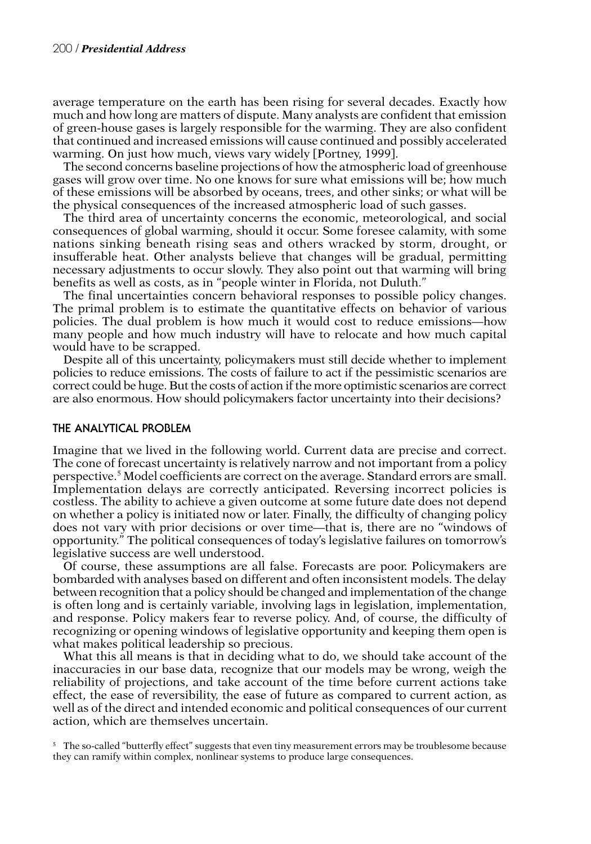average temperature on the earth has been rising for several decades. Exactly how much and how long are matters of dispute. Many analysts are confident that emission of green-house gases is largely responsible for the warming. They are also confident that continued and increased emissions will cause continued and possibly accelerated warming. On just how much, views vary widely [Portney, 1999].

The second concerns baseline projections of how the atmospheric load of greenhouse gases will grow over time. No one knows for sure what emissions will be; how much of these emissions will be absorbed by oceans, trees, and other sinks; or what will be the physical consequences of the increased atmospheric load of such gasses.

The third area of uncertainty concerns the economic, meteorological, and social consequences of global warming, should it occur. Some foresee calamity, with some nations sinking beneath rising seas and others wracked by storm, drought, or insufferable heat. Other analysts believe that changes will be gradual, permitting necessary adjustments to occur slowly. They also point out that warming will bring benefits as well as costs, as in "people winter in Florida, not Duluth."

The final uncertainties concern behavioral responses to possible policy changes. The primal problem is to estimate the quantitative effects on behavior of various policies. The dual problem is how much it would cost to reduce emissions—how many people and how much industry will have to relocate and how much capital would have to be scrapped.

Despite all of this uncertainty, policymakers must still decide whether to implement policies to reduce emissions. The costs of failure to act if the pessimistic scenarios are correct could be huge. But the costs of action if the more optimistic scenarios are correct are also enormous. How should policymakers factor uncertainty into their decisions?

#### **THE ANALYTICAL PROBLEM**

Imagine that we lived in the following world. Current data are precise and correct. The cone of forecast uncertainty is relatively narrow and not important from a policy perspective.5 Model coefficients are correct on the average. Standard errors are small. Implementation delays are correctly anticipated. Reversing incorrect policies is costless. The ability to achieve a given outcome at some future date does not depend on whether a policy is initiated now or later. Finally, the difficulty of changing policy does not vary with prior decisions or over time—that is, there are no "windows of opportunity." The political consequences of today's legislative failures on tomorrow's legislative success are well understood.

Of course, these assumptions are all false. Forecasts are poor. Policymakers are bombarded with analyses based on different and often inconsistent models. The delay between recognition that a policy should be changed and implementation of the change is often long and is certainly variable, involving lags in legislation, implementation, and response. Policy makers fear to reverse policy. And, of course, the difficulty of recognizing or opening windows of legislative opportunity and keeping them open is what makes political leadership so precious.

What this all means is that in deciding what to do, we should take account of the inaccuracies in our base data, recognize that our models may be wrong, weigh the reliability of projections, and take account of the time before current actions take effect, the ease of reversibility, the ease of future as compared to current action, as well as of the direct and intended economic and political consequences of our current action, which are themselves uncertain.

<sup>5</sup> The so-called "butterfly effect" suggests that even tiny measurement errors may be troublesome because they can ramify within complex, nonlinear systems to produce large consequences.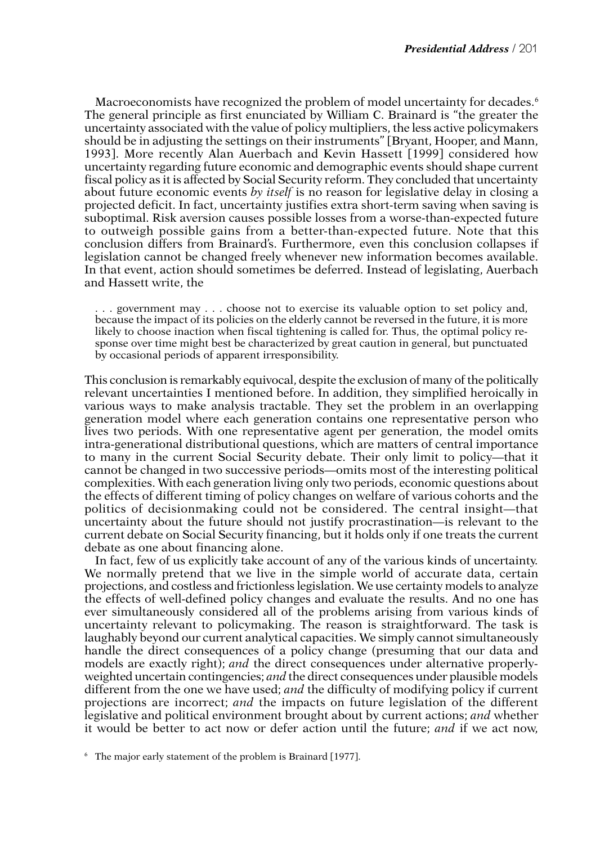Macroeconomists have recognized the problem of model uncertainty for decades.<sup>6</sup> The general principle as first enunciated by William C. Brainard is "the greater the uncertainty associated with the value of policy multipliers, the less active policymakers should be in adjusting the settings on their instruments" [Bryant, Hooper, and Mann, 1993]. More recently Alan Auerbach and Kevin Hassett [1999] considered how uncertainty regarding future economic and demographic events should shape current fiscal policy as it is affected by Social Security reform. They concluded that uncertainty about future economic events *by itself* is no reason for legislative delay in closing a projected deficit. In fact, uncertainty justifies extra short-term saving when saving is suboptimal. Risk aversion causes possible losses from a worse-than-expected future to outweigh possible gains from a better-than-expected future. Note that this conclusion differs from Brainard's. Furthermore, even this conclusion collapses if legislation cannot be changed freely whenever new information becomes available. In that event, action should sometimes be deferred. Instead of legislating, Auerbach and Hassett write, the

. . . government may . . . choose not to exercise its valuable option to set policy and, because the impact of its policies on the elderly cannot be reversed in the future, it is more likely to choose inaction when fiscal tightening is called for. Thus, the optimal policy response over time might best be characterized by great caution in general, but punctuated by occasional periods of apparent irresponsibility.

This conclusion is remarkably equivocal, despite the exclusion of many of the politically relevant uncertainties I mentioned before. In addition, they simplified heroically in various ways to make analysis tractable. They set the problem in an overlapping generation model where each generation contains one representative person who lives two periods. With one representative agent per generation, the model omits intra-generational distributional questions, which are matters of central importance to many in the current Social Security debate. Their only limit to policy—that it cannot be changed in two successive periods—omits most of the interesting political complexities. With each generation living only two periods, economic questions about the effects of different timing of policy changes on welfare of various cohorts and the politics of decisionmaking could not be considered. The central insight—that uncertainty about the future should not justify procrastination—is relevant to the current debate on Social Security financing, but it holds only if one treats the current debate as one about financing alone.

In fact, few of us explicitly take account of any of the various kinds of uncertainty. We normally pretend that we live in the simple world of accurate data, certain projections, and costless and frictionless legislation. We use certainty models to analyze the effects of well-defined policy changes and evaluate the results. And no one has ever simultaneously considered all of the problems arising from various kinds of uncertainty relevant to policymaking. The reason is straightforward. The task is laughably beyond our current analytical capacities. We simply cannot simultaneously handle the direct consequences of a policy change (presuming that our data and models are exactly right); *and* the direct consequences under alternative properlyweighted uncertain contingencies; *and* the direct consequences under plausible models different from the one we have used; *and* the difficulty of modifying policy if current projections are incorrect; *and* the impacts on future legislation of the different legislative and political environment brought about by current actions; *and* whether it would be better to act now or defer action until the future; *and* if we act now,

<sup>&</sup>lt;sup>6</sup> The major early statement of the problem is Brainard [1977].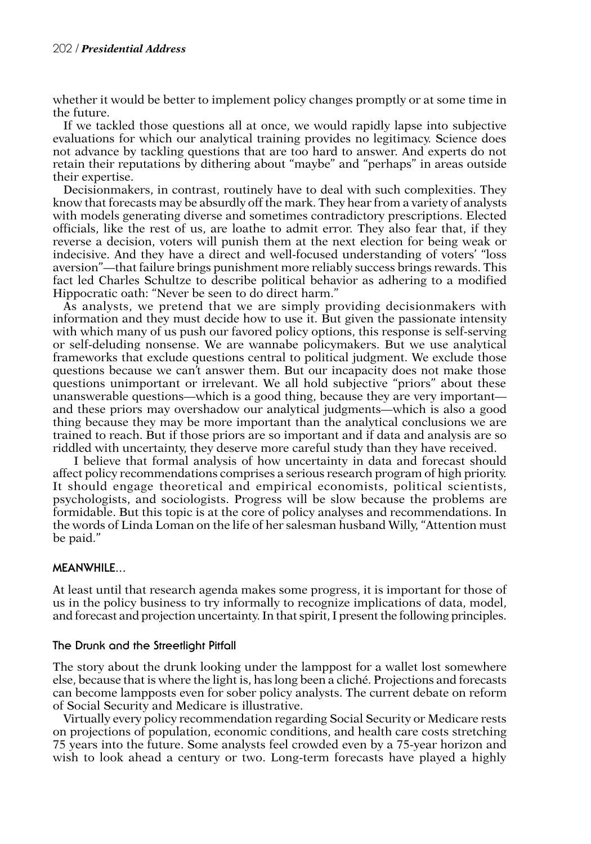whether it would be better to implement policy changes promptly or at some time in the future.

If we tackled those questions all at once, we would rapidly lapse into subjective evaluations for which our analytical training provides no legitimacy. Science does not advance by tackling questions that are too hard to answer. And experts do not retain their reputations by dithering about "maybe" and "perhaps" in areas outside their expertise.

Decisionmakers, in contrast, routinely have to deal with such complexities. They know that forecasts may be absurdly off the mark. They hear from a variety of analysts with models generating diverse and sometimes contradictory prescriptions. Elected officials, like the rest of us, are loathe to admit error. They also fear that, if they reverse a decision, voters will punish them at the next election for being weak or indecisive. And they have a direct and well-focused understanding of voters' "loss aversion"—that failure brings punishment more reliably success brings rewards. This fact led Charles Schultze to describe political behavior as adhering to a modified Hippocratic oath: "Never be seen to do direct harm."

As analysts, we pretend that we are simply providing decisionmakers with information and they must decide how to use it. But given the passionate intensity with which many of us push our favored policy options, this response is self-serving or self-deluding nonsense. We are wannabe policymakers. But we use analytical frameworks that exclude questions central to political judgment. We exclude those questions because we can't answer them. But our incapacity does not make those questions unimportant or irrelevant. We all hold subjective "priors" about these unanswerable questions—which is a good thing, because they are very important and these priors may overshadow our analytical judgments—which is also a good thing because they may be more important than the analytical conclusions we are trained to reach. But if those priors are so important and if data and analysis are so riddled with uncertainty, they deserve more careful study than they have received.

I believe that formal analysis of how uncertainty in data and forecast should affect policy recommendations comprises a serious research program of high priority. It should engage theoretical and empirical economists, political scientists, psychologists, and sociologists. Progress will be slow because the problems are formidable. But this topic is at the core of policy analyses and recommendations. In the words of Linda Loman on the life of her salesman husband Willy, "Attention must be paid."

#### **MEANWHILE...**

At least until that research agenda makes some progress, it is important for those of us in the policy business to try informally to recognize implications of data, model, and forecast and projection uncertainty. In that spirit, I present the following principles.

#### **The Drunk and the Streetlight Pitfall**

The story about the drunk looking under the lamppost for a wallet lost somewhere else, because that is where the light is, has long been a cliché. Projections and forecasts can become lampposts even for sober policy analysts. The current debate on reform of Social Security and Medicare is illustrative.

Virtually every policy recommendation regarding Social Security or Medicare rests on projections of population, economic conditions, and health care costs stretching 75 years into the future. Some analysts feel crowded even by a 75-year horizon and wish to look ahead a century or two. Long-term forecasts have played a highly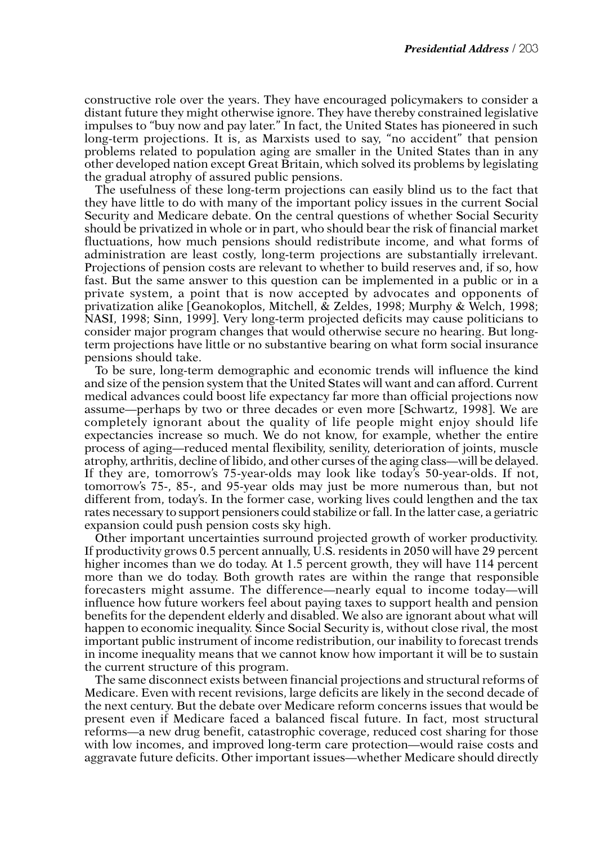constructive role over the years. They have encouraged policymakers to consider a distant future they might otherwise ignore. They have thereby constrained legislative impulses to "buy now and pay later." In fact, the United States has pioneered in such long-term projections. It is, as Marxists used to say, "no accident" that pension problems related to population aging are smaller in the United States than in any other developed nation except Great Britain, which solved its problems by legislating the gradual atrophy of assured public pensions.

The usefulness of these long-term projections can easily blind us to the fact that they have little to do with many of the important policy issues in the current Social Security and Medicare debate. On the central questions of whether Social Security should be privatized in whole or in part, who should bear the risk of financial market fluctuations, how much pensions should redistribute income, and what forms of administration are least costly, long-term projections are substantially irrelevant. Projections of pension costs are relevant to whether to build reserves and, if so, how fast. But the same answer to this question can be implemented in a public or in a private system, a point that is now accepted by advocates and opponents of privatization alike [Geanokoplos, Mitchell, & Zeldes, 1998; Murphy & Welch, 1998; NASI, 1998; Sinn, 1999]. Very long-term projected deficits may cause politicians to consider major program changes that would otherwise secure no hearing. But longterm projections have little or no substantive bearing on what form social insurance pensions should take.

To be sure, long-term demographic and economic trends will influence the kind and size of the pension system that the United States will want and can afford. Current medical advances could boost life expectancy far more than official projections now assume—perhaps by two or three decades or even more [Schwartz, 1998]. We are completely ignorant about the quality of life people might enjoy should life expectancies increase so much. We do not know, for example, whether the entire process of aging—reduced mental flexibility, senility, deterioration of joints, muscle atrophy, arthritis, decline of libido, and other curses of the aging class—will be delayed. If they are, tomorrow's 75-year-olds may look like today's 50-year-olds. If not, tomorrow's 75-, 85-, and 95-year olds may just be more numerous than, but not different from, today's. In the former case, working lives could lengthen and the tax rates necessary to support pensioners could stabilize or fall. In the latter case, a geriatric expansion could push pension costs sky high.

Other important uncertainties surround projected growth of worker productivity. If productivity grows 0.5 percent annually, U.S. residents in 2050 will have 29 percent higher incomes than we do today. At 1.5 percent growth, they will have 114 percent more than we do today. Both growth rates are within the range that responsible forecasters might assume. The difference—nearly equal to income today—will influence how future workers feel about paying taxes to support health and pension benefits for the dependent elderly and disabled. We also are ignorant about what will happen to economic inequality. Since Social Security is, without close rival, the most important public instrument of income redistribution, our inability to forecast trends in income inequality means that we cannot know how important it will be to sustain the current structure of this program.

The same disconnect exists between financial projections and structural reforms of Medicare. Even with recent revisions, large deficits are likely in the second decade of the next century. But the debate over Medicare reform concerns issues that would be present even if Medicare faced a balanced fiscal future. In fact, most structural reforms—a new drug benefit, catastrophic coverage, reduced cost sharing for those with low incomes, and improved long-term care protection—would raise costs and aggravate future deficits. Other important issues—whether Medicare should directly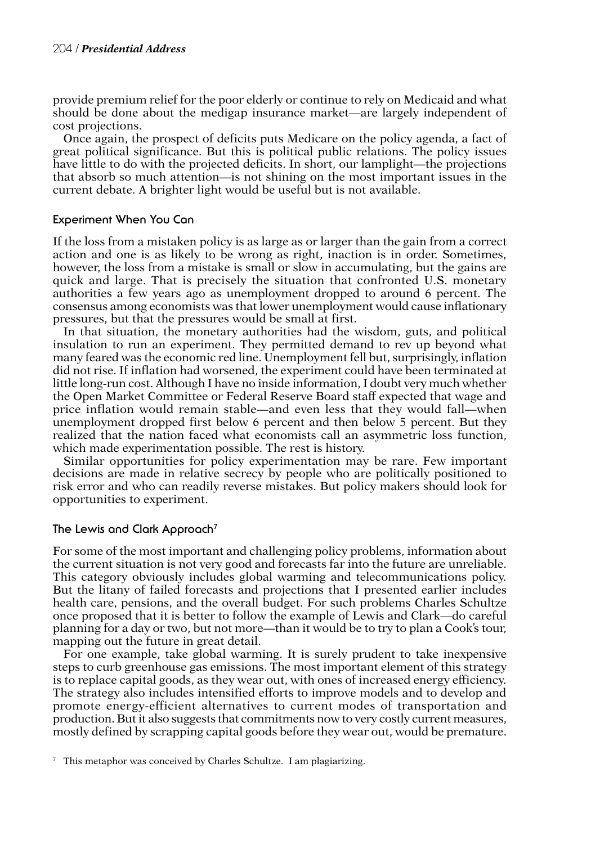provide premium relief for the poor elderly or continue to rely on Medicaid and what should be done about the medigap insurance market—are largely independent of cost projections.

Once again, the prospect of deficits puts Medicare on the policy agenda, a fact of great political significance. But this is political public relations. The policy issues have little to do with the projected deficits. In short, our lamplight—the projections that absorb so much attention—is not shining on the most important issues in the current debate. A brighter light would be useful but is not available.

#### **Experiment When You Can**

If the loss from a mistaken policy is as large as or larger than the gain from a correct action and one is as likely to be wrong as right, inaction is in order. Sometimes, however, the loss from a mistake is small or slow in accumulating, but the gains are quick and large. That is precisely the situation that confronted U.S. monetary authorities a few years ago as unemployment dropped to around 6 percent. The consensus among economists was that lower unemployment would cause inflationary pressures, but that the pressures would be small at first.

In that situation, the monetary authorities had the wisdom, guts, and political insulation to run an experiment. They permitted demand to rev up beyond what many feared was the economic red line. Unemployment fell but, surprisingly, inflation did not rise. If inflation had worsened, the experiment could have been terminated at little long-run cost. Although I have no inside information, I doubt very much whether the Open Market Committee or Federal Reserve Board staff expected that wage and price inflation would remain stable—and even less that they would fall—when unemployment dropped first below 6 percent and then below 5 percent. But they realized that the nation faced what economists call an asymmetric loss function, which made experimentation possible. The rest is history.

Similar opportunities for policy experimentation may be rare. Few important decisions are made in relative secrecy by people who are politically positioned to risk error and who can readily reverse mistakes. But policy makers should look for opportunities to experiment.

## **The Lewis and Clark Approach7**

For some of the most important and challenging policy problems, information about the current situation is not very good and forecasts far into the future are unreliable. This category obviously includes global warming and telecommunications policy. But the litany of failed forecasts and projections that I presented earlier includes health care, pensions, and the overall budget. For such problems Charles Schultze once proposed that it is better to follow the example of Lewis and Clark—do careful planning for a day or two, but not more—than it would be to try to plan a Cook's tour, mapping out the future in great detail.

For one example, take global warming. It is surely prudent to take inexpensive steps to curb greenhouse gas emissions. The most important element of this strategy is to replace capital goods, as they wear out, with ones of increased energy efficiency. The strategy also includes intensified efforts to improve models and to develop and promote energy-efficient alternatives to current modes of transportation and production. But it also suggests that commitments now to very costly current measures, mostly defined by scrapping capital goods before they wear out, would be premature.

 $7$  This metaphor was conceived by Charles Schultze. I am plagiarizing.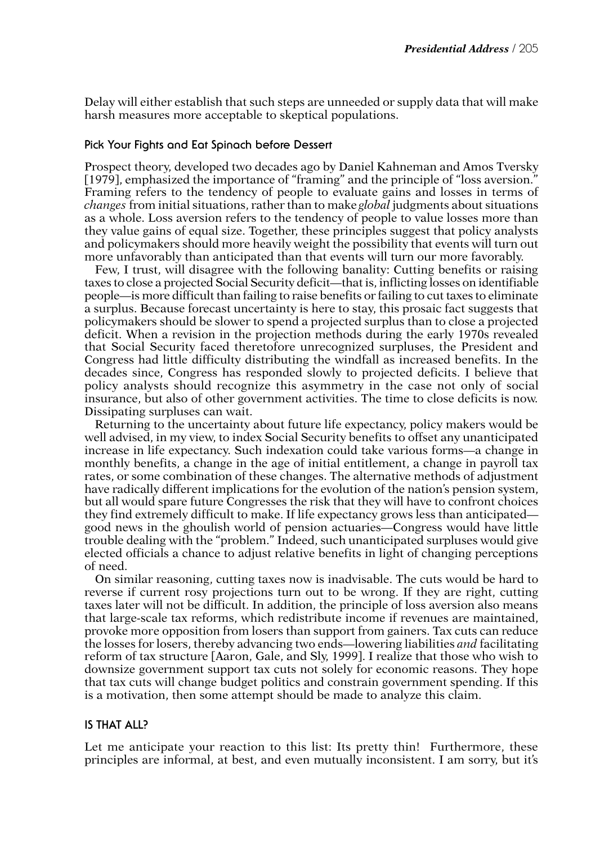Delay will either establish that such steps are unneeded or supply data that will make harsh measures more acceptable to skeptical populations.

#### **Pick Your Fights and Eat Spinach before Dessert**

Prospect theory, developed two decades ago by Daniel Kahneman and Amos Tversky [1979], emphasized the importance of "framing" and the principle of "loss aversion." Framing refers to the tendency of people to evaluate gains and losses in terms of *changes* from initial situations, rather than to make *global* judgments about situations as a whole. Loss aversion refers to the tendency of people to value losses more than they value gains of equal size. Together, these principles suggest that policy analysts and policymakers should more heavily weight the possibility that events will turn out more unfavorably than anticipated than that events will turn our more favorably.

Few, I trust, will disagree with the following banality: Cutting benefits or raising taxes to close a projected Social Security deficit—that is, inflicting losses on identifiable people—is more difficult than failing to raise benefits or failing to cut taxes to eliminate a surplus. Because forecast uncertainty is here to stay, this prosaic fact suggests that policymakers should be slower to spend a projected surplus than to close a projected deficit. When a revision in the projection methods during the early 1970s revealed that Social Security faced theretofore unrecognized surpluses, the President and Congress had little difficulty distributing the windfall as increased benefits. In the decades since, Congress has responded slowly to projected deficits. I believe that policy analysts should recognize this asymmetry in the case not only of social insurance, but also of other government activities. The time to close deficits is now. Dissipating surpluses can wait.

Returning to the uncertainty about future life expectancy, policy makers would be well advised, in my view, to index Social Security benefits to offset any unanticipated increase in life expectancy. Such indexation could take various forms—a change in monthly benefits, a change in the age of initial entitlement, a change in payroll tax rates, or some combination of these changes. The alternative methods of adjustment have radically different implications for the evolution of the nation's pension system, but all would spare future Congresses the risk that they will have to confront choices they find extremely difficult to make. If life expectancy grows less than anticipated good news in the ghoulish world of pension actuaries—Congress would have little trouble dealing with the "problem." Indeed, such unanticipated surpluses would give elected officials a chance to adjust relative benefits in light of changing perceptions of need.

On similar reasoning, cutting taxes now is inadvisable. The cuts would be hard to reverse if current rosy projections turn out to be wrong. If they are right, cutting taxes later will not be difficult. In addition, the principle of loss aversion also means that large-scale tax reforms, which redistribute income if revenues are maintained, provoke more opposition from losers than support from gainers. Tax cuts can reduce the losses for losers, thereby advancing two ends—lowering liabilities *and* facilitating reform of tax structure [Aaron, Gale, and Sly, 1999]. I realize that those who wish to downsize government support tax cuts not solely for economic reasons. They hope that tax cuts will change budget politics and constrain government spending. If this is a motivation, then some attempt should be made to analyze this claim.

#### **IS THAT ALL?**

Let me anticipate your reaction to this list: Its pretty thin! Furthermore, these principles are informal, at best, and even mutually inconsistent. I am sorry, but it's